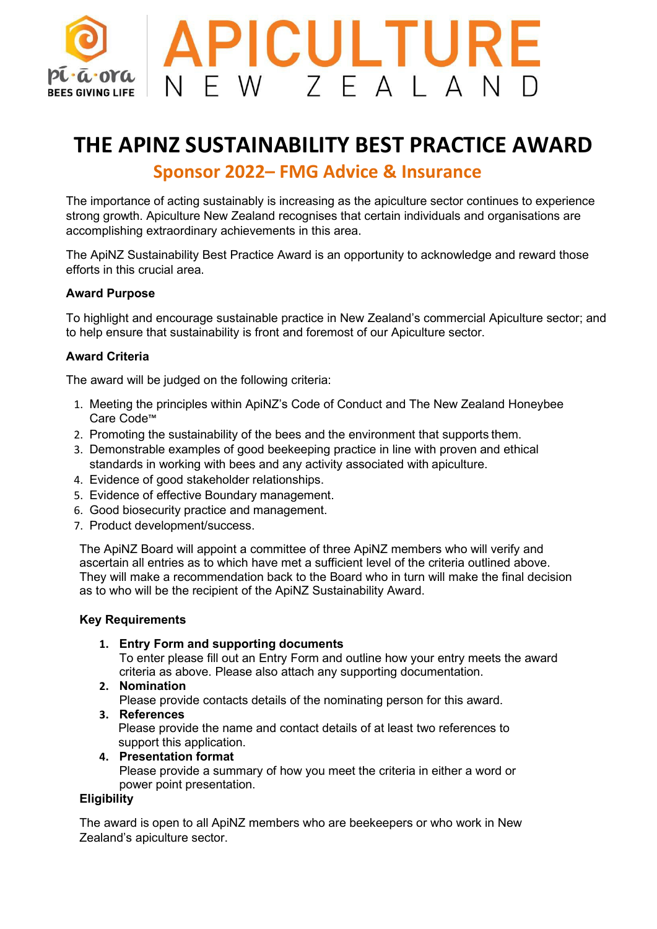

# **THE APINZ SUSTAINABILITY BEST PRACTICE AWARD Sponsor 2022– FMG Advice & Insurance**

The importance of acting sustainably is increasing as the apiculture sector continues to experience strong growth. Apiculture New Zealand recognises that certain individuals and organisations are accomplishing extraordinary achievements in this area.

The ApiNZ Sustainability Best Practice Award is an opportunity to acknowledge and reward those efforts in this crucial area.

#### **Award Purpose**

To highlight and encourage sustainable practice in New Zealand's commercial Apiculture sector; and to help ensure that sustainability is front and foremost of our Apiculture sector.

## **Award Criteria**

The award will be judged on the following criteria:

- 1. Meeting the principles within ApiNZ's Code of Conduct and The New Zealand Honeybee Care Code™
- 2. Promoting the sustainability of the bees and the environment that supports them.
- 3. Demonstrable examples of good beekeeping practice in line with proven and ethical standards in working with bees and any activity associated with apiculture.
- 4. Evidence of good stakeholder relationships.
- 5. Evidence of effective Boundary management.
- 6. Good biosecurity practice and management.
- 7. Product development/success.

The ApiNZ Board will appoint a committee of three ApiNZ members who will verify and ascertain all entries as to which have met a sufficient level of the criteria outlined above. They will make a recommendation back to the Board who in turn will make the final decision as to who will be the recipient of the ApiNZ Sustainability Award.

#### **Key Requirements**

**1. Entry Form and supporting documents**

To enter please fill out an Entry Form and outline how your entry meets the award criteria as above. Please also attach any supporting documentation.

#### **2. Nomination**

Please provide contacts details of the nominating person for this award.

- **3. References** Please provide the name and contact details of at least two references to support this application.
- **4. Presentation format** Please provide a summary of how you meet the criteria in either a word or power point presentation.

### **Eligibility**

The award is open to all ApiNZ members who are beekeepers or who work in New Zealand's apiculture sector.